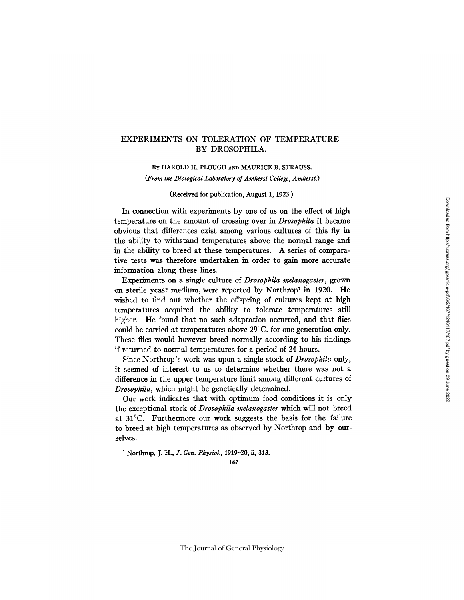## EXPERIMENTS ON TOLERATION OF TEMPERATURE BY DROSOPHILA.

BY HAROLD H. PLOUGH AND MAURICE B. STRAUSS.

*(From the Biological laboratory of Amherst College, Amherst.)* 

### (Received for publication, August 1, 1923.)

In connection with experiments by one of us on the effect of high temperature on the amount of crossing over in *Drosophila* it became obvious that differences exist among various cultures of this fly in the ability to withstand temperatures above the normal range and in the ability to breed at these temperatures. A series of comparative tests was therefore undertaken in order to gain more accurate information along these lines.

Experiments on a single culture of *Drosophila melanogaster, grown*  on sterile yeast medium, were reported by Northrop<sup>1</sup> in 1920. He wished to find out whether the offspring of cultures kept at high temperatures acquired the ability to tolerate temperatures still higher. He found that no such adaptation occurred, and that flies could be carried at temperatures above 29°C. for one generation only. These flies would however breed normally according to his findings if returned to normal temperatures for a period of 24 hours.

Since Northrop's work was upon a single stock of *Drosophila* only, it seemed of interest to us to determine whether there was not a difference in the upper temperature limit among different cultures of *Drosophila,* which might be genetically determined.

Our work indicates that with optimum food conditions it is only the exceptional stock of *Drosophila mdanogaster* which will not breed at 31°C. Furthermore our work suggests the basis for the failure to breed at high temperatures as observed by Northrop and by ourselves.

t Northrop, *J. H., d. Gen. PhysioL,* 1919-20, if, 313.

167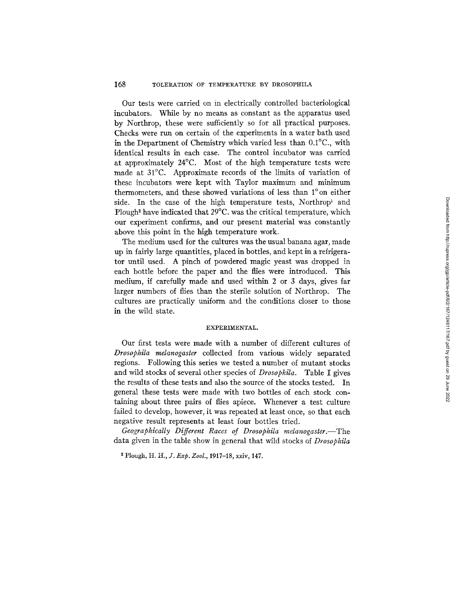## 168 TOLERATION OF TEMPERATURE BY DROSOPHILA

Our tests were carried on in electrically controlled bacteriological incubators. While by no means as constant as the apparatus used by Northrop, these were sufficiently so for all practical purposes. Checks were run on certain of the experiments in a water bath used in the Department of Chemistry which varied less than 0.1°C., with identical results in each case. The control incubator was carried at approximately 24°C. Most of the high temperature tests were made at 31°C. Approximate records of the limits of variation of these incubators were kept with Taylor maximum and minimum thermometers, and these showed variations of less than l°on either side. In the case of the high temperature tests, Northrop and Plough<sup>2</sup> have indicated that  $29^{\circ}$ C. was the critical temperature, which our experiment confirms, and our present material was constantly above this point in the high temperature work.

The medium used for the cultures was the usual banana agar, made up in fairly large quantifies, placed in bottles, and kept in a refrigerator until used. A pinch of powdered magic yeast was dropped in each bottle before the paper and the flies were introduced. This medium, if carefully made and used within 2 or 3 days, gives far larger numbers of flies than the sterile solution of Northrop. The cultures are practically uniform and the conditions closer to those in the wild state.

#### EXPERIMENTAL.

Our first tests were made with a number of different cultures of *Drosophila rnelanogaster* collected from various widely separated regions. Following this series we tested a number of mutant stocks and wild stocks of several other species of *Drosophila.* Table I gives the results of these tests and also the source of the stocks tested. In general these tests were made with two bottles of each stock containing about three pairs of flies apiece. Whenever a test culture failed to develop, however, it was repeated at least once, so that each negative result represents at least four bottles tried.

*Geographically Different Races of Drosophila melanogaster.* The data given in the table show in general that wild stocks of *Drosophila* 

<sup>2</sup> Plough, *H. H., J. Exp. Zool.,* 1917-18, xxiv, 147.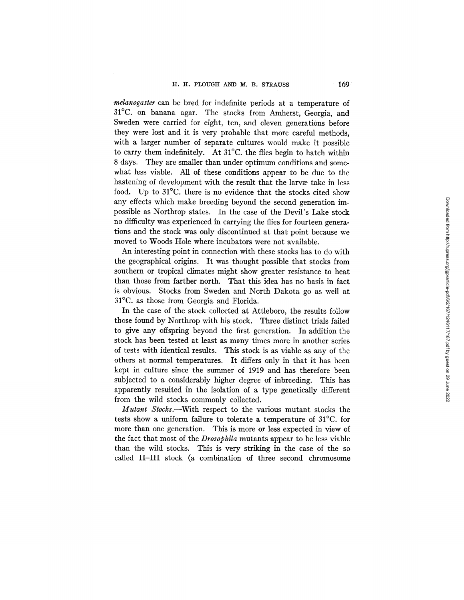*melanogaster* can be bred for indefinite periods at a temperature of 31°C. on banana agar. The stocks from Amherst, Georgia, and Sweden were carried for eight, ten, and eleven generations before they were lost and it is very probable that more careful methods, with a larger number of separate cultures would make it possible to carry them indefinitely. At 31°C. the flies begin to hatch within 8 days. They are smaller than under optimum conditions and somewhat less viable. All of these conditions appear to be due to the hastening of development with the result that the larvae take in less food. Up to 31°C. there is no evidence that the stocks cited show any effects which make breeding beyond the second generation impossible as Northrop states. In the case of the Devil's Lake stock no difficulty was experienced in carrying the flies for fourteen generations and the stock was only discontinued at that point because we moved to Woods Hole where incubators were not available.

An interesting point in connection with these stocks has to do with the geographical origins. It was thought possible that stocks from southern or tropical climates might show greater resistance to heat than those from farther north. That this idea has no basis in fact is obvious. Stocks from Sweden and North Dakota go as well at 31°C. as those from Georgia and Florida.

In the case of the stock collected at Attleboro, the results follow those found by Northrop with his stock. Three distinct trials failed to give any offspring beyond the first generation. In addition the stock has been tested at least as many times more in another series of tests with identical results. This stock is as viable as any of the others at normal temperatures. It differs only in that it has been kept in culture since the summer of 1919 and has therefore been subjected to a considerably higher degree of inbreeding. This has apparently resulted in the isolation of a type genetically different from the wild stocks commonly collected.

*Mutant Stocks.--With* respect to the various mutant stocks the tests show a uniform failure to tolerate a temperature of 31°C. for more than one generation. This is more or less expected in view of the fact that most of the *Drosophila* mutants appear to be less viable than the wild stocks. This is very striking in the case of the so called II-III stock (a combination of three second chromosome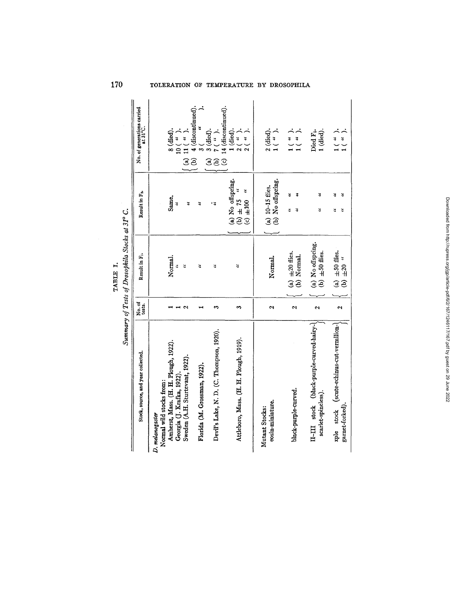|                                                                 |                         | TABLE I.                                        |                                                           |                                                                                                        |
|-----------------------------------------------------------------|-------------------------|-------------------------------------------------|-----------------------------------------------------------|--------------------------------------------------------------------------------------------------------|
|                                                                 |                         | Summary of Tests of Drosophila Stocks at 31° C. |                                                           |                                                                                                        |
| Stock, source, and year collected.                              | No. of<br>tests.        | Result in F <sub>1</sub> .                      | Result in F <sub>2</sub>                                  | No. of generations carried<br>at 31°C.                                                                 |
| Normal wild stocks from:<br>D. melanogaster                     |                         |                                                 |                                                           |                                                                                                        |
| Amherst, Mass. (H. H. Plough, 1922).                            |                         | Normal.<br>ž                                    | Same.<br>4                                                | 8 (died).                                                                                              |
| Sweden (A.H. Sturtevant, 1922).<br>Georgia (J. Krafka, 1922).   | ∾                       | ă                                               | ă                                                         | $\begin{pmatrix} 3 \\ 1 \end{pmatrix}$<br>$\begin{matrix} 3 \\ 4 \end{matrix}$<br>(a) 11 $($<br>$\leq$ |
| Florida (M. Grossman, 1922).                                    |                         | ₹                                               | A,                                                        | 4 (discontinued).<br>ê                                                                                 |
| Devil's Lake, N. D. (C. Thompson, 1920).                        | 8                       | 2                                               | ی و                                                       | $3$ (died).<br>$7$ ( $\lq$ ).<br>ES                                                                    |
| Attleboro, Mass. (H. H. Plough, 1919).                          | S                       | 4                                               | (a) No offspring.<br>₹<br>(b) $\pm 75$<br>$( c ) \pm 100$ | $(c)$ 14 (discontinued).<br>1 (died)<br>$\ddot{\cdot}$<br>y<br>.<br>$\frac{8}{9}$                      |
| eosin-miniature.<br>Mutant Stocks:                              | $\mathbf{\hat{z}}$      | Normal.                                         | (b) No offspring.<br>$(a) 10-15$ flies.                   | $2$ (died).<br>$1$ ( " ).                                                                              |
| black-purple-curved.                                            | $\mathbf{\hat{c}}$      | (a) $\pm 20$ flies.<br>(b) Normal.              | ă<br>٣<br>¥<br>ă                                          | $\begin{array}{c} 1\left( \begin{array}{c} u \\ u \end{array} \right) \end{array}$                     |
| II-III stock (black-purple-curved-hairy-<br>scarlet-spineless). | $\mathbf{\hat{z}}$      | (a) No offspring.<br>(b) $\pm 50$ flies.        | z<br>š                                                    | 1 (died).<br>Died F <sub>1</sub> .                                                                     |
| xple stock (scute-echinus-cut-vermilion-<br>garnet-forked)      | $\overline{\mathbf{c}}$ | (a) $\pm 50$ files.<br>$±20$ "<br>$\widehat{e}$ | ă<br>$\ddot{ }$<br>ئ<br>ะ                                 | $\begin{pmatrix} 4 & 0 \\ 0 & 1 \\ 1 & 0 \end{pmatrix}$                                                |

# **170 TOLERATION OF TE~fPERATURE BY DROSOPHILA**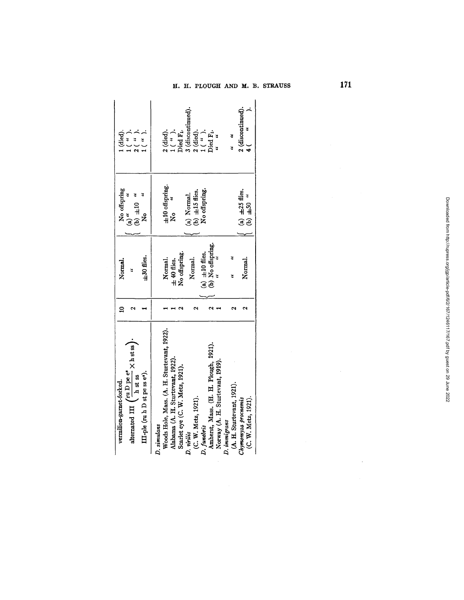| $1$ ( " ).<br>died).<br>$2$ ( " ).<br>$\left($ , $\right)$                                                                                                                                                            | 3 (discontinued).<br>$1$ ( " ).<br>2 (died).<br>$i$ ( " ).<br>tied).<br>Died F <sub>1</sub> .                                                                                                                                  | 2 (discontinued).<br>Died F1.<br>$\frac{u}{u}$                                                                              |
|-----------------------------------------------------------------------------------------------------------------------------------------------------------------------------------------------------------------------|--------------------------------------------------------------------------------------------------------------------------------------------------------------------------------------------------------------------------------|-----------------------------------------------------------------------------------------------------------------------------|
| No offspring<br>(b) $\pm 10$ "<br>$(a)$ "<br>ż                                                                                                                                                                        | $\pm 10$ offspring.<br>No offspring.<br>(b) $\pm 15$ flies.<br>(a) Normal.<br>k<br>No                                                                                                                                          | (a) $\pm 25$ flies.<br>(b) $\pm 50$ "                                                                                       |
| $\pm 30$ flies.<br>Normal.                                                                                                                                                                                            | (b) No offspring.<br>No offspring.<br>(a) $\pm 10$ flies.<br>Normal.<br>Normal.<br>$\pm 40$ flies.                                                                                                                             | Normal.                                                                                                                     |
|                                                                                                                                                                                                                       |                                                                                                                                                                                                                                |                                                                                                                             |
| alternated III $\left(\frac{\text{ru D} \text{ pe } \text{ e}^{\text{e}}}{\text{h} \text{ st} \text{ ss}} \times \text{h} \text{ st} \text{ ss}\right)$ .<br>III-ple (ruh D st pe ss e").<br>vermilion-garnet-forked. | Woods Hole, Mass. (A. H. Sturtevant, 1922).<br>Amherst, Mass. (H. H. Plough, 1921).<br>Alabama (A. H. Sturtevant, 1922).<br>Scarlet eye (C. W. Metz, 1921).<br>(C. W. Metz, 1921).<br>D. funebris<br>D. simulans<br>D. virilis | Norway (A. H. Sturtevant, 1919).<br>(A. H. Sturtevant, 1921).<br>(C. W. Metz, 1921).<br>Chymomyza procnemis<br>D. immigrans |

 $\ddot{\phantom{a}}$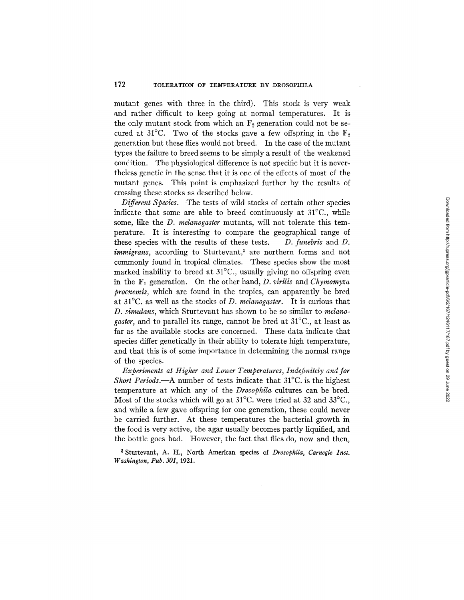mutant genes with three in the third). This stock is very weak and rather difficult to keep going at normal temperatures. It is the only mutant stock from which an  $F_2$  generation could not be secured at  $31^{\circ}$ C. Two of the stocks gave a few offspring in the  $F_2$ generation but these flies would not breed. In the case of the mutant types the failure to breed seems to be simply a result of the weakened condition. The physiological difference is not specific but it is nevertheless genetic in the sense that it is one of the effects of most of the mutant genes. This point is emphasized further by the results of crossing these stocks as described below.

*Different Species.--The* tests of wild stocks of certain other species indicate that some are able to breed continuously at 31°C., while some, like the *D. melanogaster* mutants, will not tolerate this temperature. It is interesting to compare the geographical range of these species with the results of these tests. *D. funebris* and D. *immigrans, according to Sturtevant,<sup>3</sup> are northern forms and not* commonly found in tropical climates. These species show the most marked inability to breed at 31°C., usually giving no offspring even in the F1 generation. On the other hand, *D. virilis* and *Chymomyza procnemis,* which are found in the tropics, can apparently be bred at 31°C. as well as the stocks of *D. mdanogaster.* It is curious that *D. simulans,* which Sturtevant has shown to be so similar to *melanogaster,* and to parallel its range, cannot be bred at 31°C., at least as far as the available stocks are concerned. These data indicate that species differ genetically in their ability to tolerate high temperature, and that this is of some importance in determining the normal range of the species.

Experiments at Higher and Lower Temperatures, Indefinitely and for *Short Periods.*—A number of tests indicate that 31<sup>o</sup>C. is the highest temperature at which any of the *Drosophila* cultures can be bred. Most of the stocks which will go at 31°C. were tried at 32 and *33°C.,*  and while a few gave offspring for one generation, these could never be carried further. At these temperatures the bacterial growth in the food is very active, the agar usually becomes partly liquified, and the bottle goes bad. However, the fact that flies do, now and then,

<sup>3</sup> Sturtevant, A. H., North American species of *Drosophila*, Carnegie Inst. *Washington, Pub. 301,* 1921.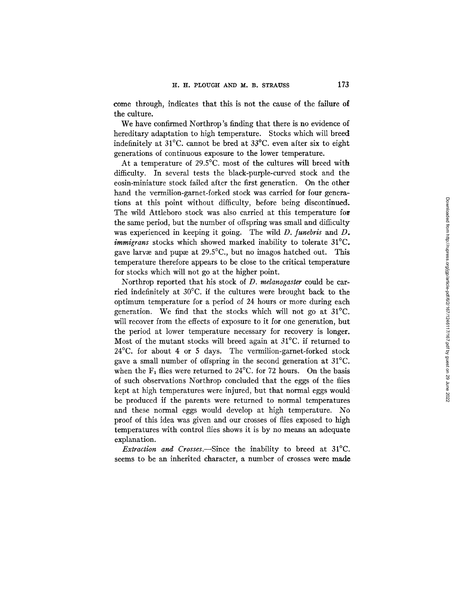come through, indicates that this is not the cause of the failure of the culture.

We have confirmed Northrop's finding that there is no evidence of hereditary adaptation to high temperature. Stocks which will breed indefinitely at 31°C. cannot be bred at 33°C. even after six to eight generations of continuous exposure to the lower temperature.

At a temperature of 29.5°C. most of the cultures will breed with difficulty. In several tests the black-purple-curved stock and the eosin-miniature stock failed after the first generatien. On the other hand the vermilion-garnet-forked stock was carried for four generations at this point without difficulty, before being discontinued. The wild Attleboro stock was also carried at this temperature for the same period, but the number of offspring was small and difficulty was experienced in keeping it going. The wild *D. funebris* and D. *immigrans* stocks which showed marked inability to tolerate 31°C. gave larvae and pupae at  $29.5^{\circ}$ C., but no imagos hatched out. This temperature therefore appears to be close to the critical temperature for stocks which will not go at the higher point.

Northrop reported that his stock of *D. melanogaster* could be carried indefinitely at 30°C. if the cultures were brought back to the optimum temperature for a period of 24 hours or more during each generation. We find that the stocks which will not go at 31°C. will recover from the effects of exposure to it for one generation, but the period at lower temperature necessary for recovery is longer. Most of the mutant stocks will breed again at 31°C. if returned to 24°C. for about 4 or 5 days. The vermilion-garnet-forked stock gave a small number of offspring in the second generation at 31°C. when the  $F_1$  flies were returned to 24°C. for 72 hours. On the basis of such observations Northrop concluded that the eggs of the flies kept at high temperatures were injured, but that normal eggs would be produced if the parents were returned to normal temperatures and these normal eggs would develop at high temperature. No proof of this idea was given and our crosses of flies exposed to high temperatures with control flies shows it is by no means an adequate explanation.

*Extraction and Crosses.--Since* the inability to breed at 31°C. seems to be an inherited character, a number of crosses were made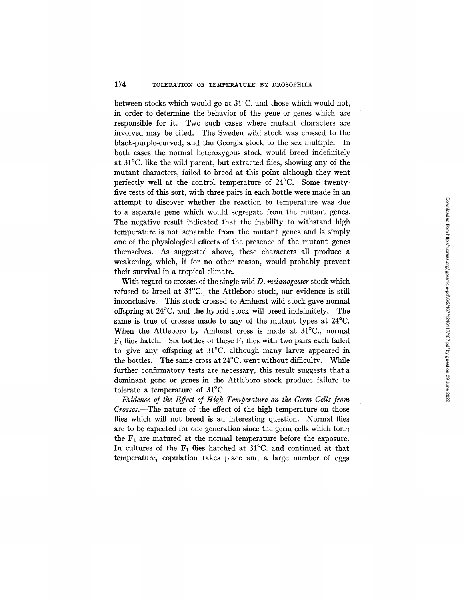between stocks which would go at 31°C. and those which would not, in order to determine the behavior of the gene or genes which are responsible for it. Two such cases where mutant characters are involved may be cited. The Sweden wild stock was crossed to the black-purple-curved, and the Georgia stock to the sex multiple. In both cases the normal heterozygous stock would breed indefinitely at 31°C. like the wild parent, but extracted flies, showing any of the mutant characters, failed to breed at this point although they went perfectly well at the control temperature of 24°C. Some twentyfive tests of this sort, with three pairs in each bottle were made in an attempt to discover whether the reaction to temperature was due to a separate gene which would segregate from the mutant genes. The negative result indicated that the inability to withstand high temperature is not separable from the mutant genes and is simply one of the physiological effects of the presence of the mutant genes themselves. As suggested above, these characters all produce a weakening, which, if for no other reason, would probably prevent their survival in a tropical climate.

With regard to crosses of the single wild *D. mdanogaster* stock which refused to breed at 31°C., the Attleboro stock, our evidence is still inconclusive. This stock crossed to Amherst wild stock gave normal offspring at 24°C. and the hybrid stock will breed indefinitely. The same is true of crosses made to any of the mutant types at 24°C. When the Attleboro by Amherst cross is made at 31°C., normal  $F_1$  flies hatch. Six bottles of these  $F_1$  flies with two pairs each failed to give any offspring at 31°C. although many larvae appeared in the bottles. The same cross at  $24^{\circ}$ C. went without difficulty. While further confirmatory tests are necessary, this result suggests that a dominant gene or genes in the Atfleboro stock produce failure to tolerate a temperature of 31°C.

*Evidence of the Effect of High Temperature on the Germ Cells from Crosses.--The* nature of the effect of the high temperature on those flies which will not breed is an interesting question. Normal flies are to be expected for one generation since the germ cells which form the  $F_1$  are matured at the normal temperature before the exposure. In cultures of the  $F_1$  flies hatched at 31<sup>o</sup>C. and continued at that temperature, copulation takes place and a large number of eggs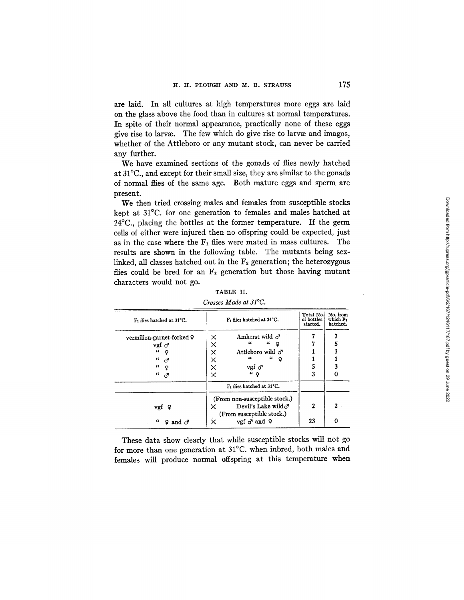are laid. In all cultures at high temperatures more eggs are laid on the glass above the food than in cultures at normal temperatures. In spite of their normal appearance, practically none of these eggs give rise to larva. The few which do give rise to larva and imagos, whether of the Attleboro or any mutant stock, can never be carried any further.

We have examined sections of the gonads of flies newly hatched at 31°C., and except for their small size, they are similar to the gonads of normal flies of the same age. Both mature eggs and sperm are present.

We then tried crossing males and females from susceptible stocks kept at 31°C. for one generation to females and males hatched at 24°C., placing the bottles at the former temperature. If the germ cells of either were injured then no offspring could be expected, just as in the case where the  $F_1$  flies were mated in mass cultures. The results are shown in the following table. The mutants being sexlinked, all classes hatched out in the  $F<sub>2</sub>$  generation; the heterozygous flies could be bred for an  $F_3$  generation but those having mutant characters would not go.

| F <sub>1</sub> flies hatched at 24°C.                                                                             | Total No.<br>of bottles<br>started. | No. from<br>which F.<br>hatched. |
|-------------------------------------------------------------------------------------------------------------------|-------------------------------------|----------------------------------|
| Amherst wild $\sigma$<br>×                                                                                        |                                     |                                  |
| $\epsilon$<br>"<br>×<br>Q                                                                                         |                                     |                                  |
| $\times$<br>Attleboro wild o <sup>7</sup>                                                                         |                                     |                                  |
| $\epsilon$<br>"<br>Q<br>×                                                                                         |                                     |                                  |
| $\times$<br>vgf o                                                                                                 | 5                                   |                                  |
| $``\circ$<br>×                                                                                                    | 3                                   | 0                                |
| $F_1$ flies hatched at 31°C.                                                                                      |                                     |                                  |
| (From non-susceptible stock.)<br>Devil's Lake wild $\sigma$<br>×<br>(From susceptible stock.)<br>vgf ♂ and ♀<br>× | 2<br>23                             | 2<br>0                           |
|                                                                                                                   |                                     |                                  |

TABLE II. *Crosses Made at 31°C.* 

These data show clearly that while susceptible stocks will not go for more than one generation at 31°C. when inbred, both males and females will produce normal offspring at this temperature when